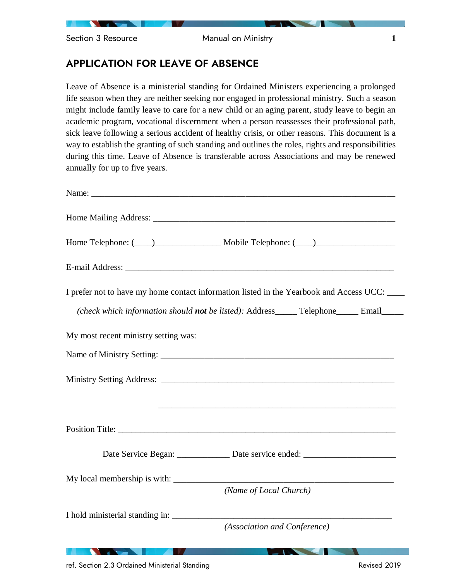Section 3 Resource **1 Manual on Ministry 1** 

# APPLICATION FOR LEAVE OF ABSENCE

Leave of Absence is a ministerial standing for Ordained Ministers experiencing a prolonged life season when they are neither seeking nor engaged in professional ministry. Such a season might include family leave to care for a new child or an aging parent, study leave to begin an academic program, vocational discernment when a person reassesses their professional path, sick leave following a serious accident of healthy crisis, or other reasons. This document is a way to establish the granting of such standing and outlines the roles, rights and responsibilities during this time. Leave of Absence is transferable across Associations and may be renewed annually for up to five years.

| Home Telephone: (100) Mobile Telephone: (200)                                                                                                |
|----------------------------------------------------------------------------------------------------------------------------------------------|
|                                                                                                                                              |
| I prefer not to have my home contact information listed in the Yearbook and Access UCC:                                                      |
| (check which information should not be listed): Address_____ Telephone_____ Email_____                                                       |
| My most recent ministry setting was:                                                                                                         |
|                                                                                                                                              |
|                                                                                                                                              |
|                                                                                                                                              |
| Date Service Began: ___________ Date service ended: ____________________________                                                             |
|                                                                                                                                              |
| (Name of Local Church)                                                                                                                       |
| I hold ministerial standing in:<br>(Association and Conference)                                                                              |
| <b>Northern Comment Comment</b><br>$\sim$ 100 $\sim$ 100 $\sim$ 100 $\sim$ 100 $\sim$ 100 $\sim$<br><b>The Common Service Common Service</b> |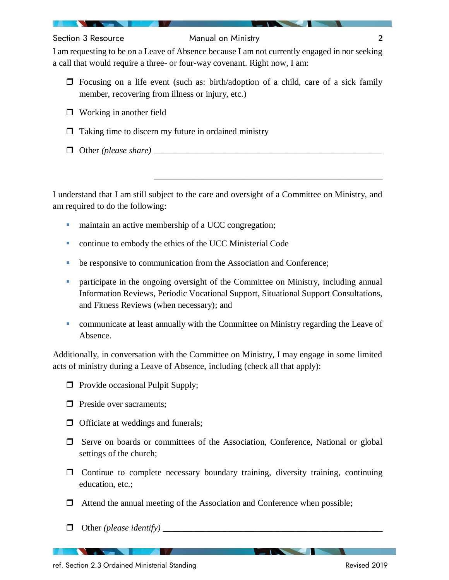### Section 3 Resource Manual on Ministry **2**

I am requesting to be on a Leave of Absence because I am not currently engaged in nor seeking a call that would require a three- or four-way covenant. Right now, I am:

- $\Box$  Focusing on a life event (such as: birth/adoption of a child, care of a sick family member, recovering from illness or injury, etc.)
- □ Working in another field
- $\Box$  Taking time to discern my future in ordained ministry
- $\Box$  Other *(please share)*

I understand that I am still subject to the care and oversight of a Committee on Ministry, and am required to do the following:

\_\_\_\_\_\_\_\_\_\_\_\_\_\_\_\_\_\_\_\_\_\_\_\_\_\_\_\_\_\_\_\_\_\_\_\_\_\_\_\_\_\_\_\_\_\_\_\_\_\_\_\_

- **•** maintain an active membership of a UCC congregation;
- continue to embody the ethics of the UCC Ministerial Code
- be responsive to communication from the Association and Conference;
- participate in the ongoing oversight of the Committee on Ministry, including annual Information Reviews, Periodic Vocational Support, Situational Support Consultations, and Fitness Reviews (when necessary); and
- communicate at least annually with the Committee on Ministry regarding the Leave of Absence.

Additionally, in conversation with the Committee on Ministry, I may engage in some limited acts of ministry during a Leave of Absence, including (check all that apply):

- $\Box$  Provide occasional Pulpit Supply;
- $\Box$  Preside over sacraments:
- $\Box$  Officiate at weddings and funerals;
- $\Box$  Serve on boards or committees of the Association, Conference, National or global settings of the church;
- $\Box$  Continue to complete necessary boundary training, diversity training, continuing education, etc.;
- $\Box$  Attend the annual meeting of the Association and Conference when possible;
- $\Box$  Other *(please identify)*

ref. Section 2.3 Ordained Ministerial Standing Revised 2019

<u> De Santon de Santon de la pro</u>

**The Contract of the Contract of the Contract of the Contract of the Contract of the Contract of the Contract of The Contract of The Contract of The Contract of The Contract of The Contract of The Contract of The Contract**